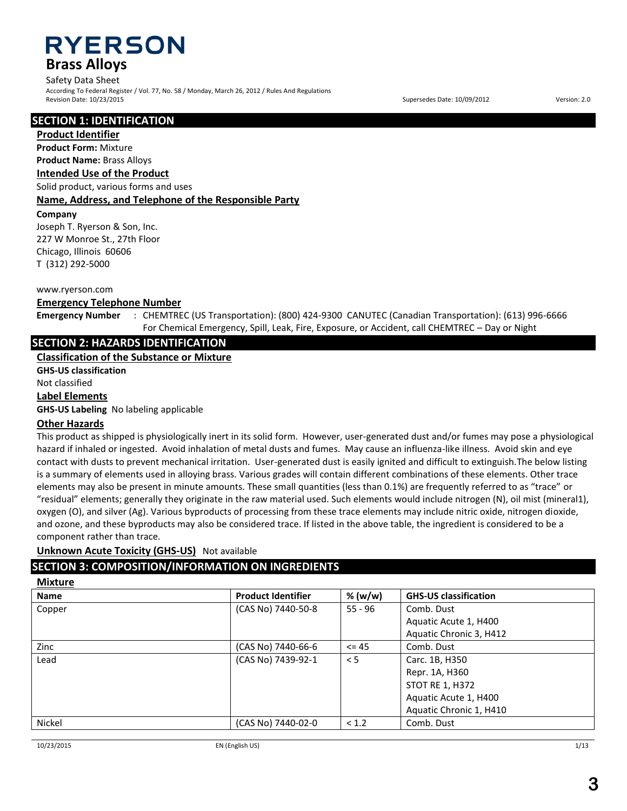### **RYERSON Brass Alloys**

Safety Data Sheet According To Federal Register / Vol. 77, No. 58 / Monday, March 26, 2012 / Rules And Regulations Revision Date: 10/23/2015 Supersedes Date: 10/09/2012 Version: 2.0

### **SECTION 1: IDENTIFICATION**

### **Product Identifier**

**Product Form:** Mixture **Product Name:** Brass Alloys

### **Intended Use of the Product**

Solid product, various forms and uses

### **Name, Address, and Telephone of the Responsible Party**

#### **Company**

Joseph T. Ryerson & Son, Inc. 227 W Monroe St., 27th Floor Chicago, Illinois 60606 T (312) 292-5000

### www.ryerson.com

### **Emergency Telephone Number**

**Emergency Number** : CHEMTREC (US Transportation): (800) 424-9300 CANUTEC (Canadian Transportation): (613) 996-6666 For Chemical Emergency, Spill, Leak, Fire, Exposure, or Accident, call CHEMTREC – Day or Night

### **SECTION 2: HAZARDS IDENTIFICATION**

### **Classification of the Substance or Mixture**

**GHS-US classification**

Not classified

#### **Label Elements**

**GHS-US Labeling** No labeling applicable

#### **Other Hazards**

This product as shipped is physiologically inert in its solid form. However, user-generated dust and/or fumes may pose a physiological hazard if inhaled or ingested. Avoid inhalation of metal dusts and fumes. May cause an influenza-like illness. Avoid skin and eye contact with dusts to prevent mechanical irritation. User-generated dust is easily ignited and difficult to extinguish.The below listing is a summary of elements used in alloying brass. Various grades will contain different combinations of these elements. Other trace elements may also be present in minute amounts. These small quantities (less than 0.1%) are frequently referred to as "trace" or "residual" elements; generally they originate in the raw material used. Such elements would include nitrogen (N), oil mist (mineral1), oxygen (O), and silver (Ag). Various byproducts of processing from these trace elements may include nitric oxide, nitrogen dioxide, and ozone, and these byproducts may also be considered trace. If listed in the above table, the ingredient is considered to be a component rather than trace.

#### **Unknown Acute Toxicity (GHS-US)** Not available

### **SECTION 3: COMPOSITION/INFORMATION ON INGREDIENTS**

#### **Mixture**

| <b>Name</b> | <b>Product Identifier</b> | % (w/w)   | <b>GHS-US classification</b> |
|-------------|---------------------------|-----------|------------------------------|
| Copper      | (CAS No) 7440-50-8        | $55 - 96$ | Comb. Dust                   |
|             |                           |           | Aquatic Acute 1, H400        |
|             |                           |           | Aquatic Chronic 3, H412      |
| Zinc        | (CAS No) 7440-66-6        | $\leq$ 45 | Comb. Dust                   |
| Lead        | (CAS No) 7439-92-1        | < 5       | Carc. 1B, H350               |
|             |                           |           | Repr. 1A, H360               |
|             |                           |           | <b>STOT RE 1, H372</b>       |
|             |                           |           | Aquatic Acute 1, H400        |
|             |                           |           | Aquatic Chronic 1, H410      |
| Nickel      | (CAS No) 7440-02-0        | < 1.2     | Comb. Dust                   |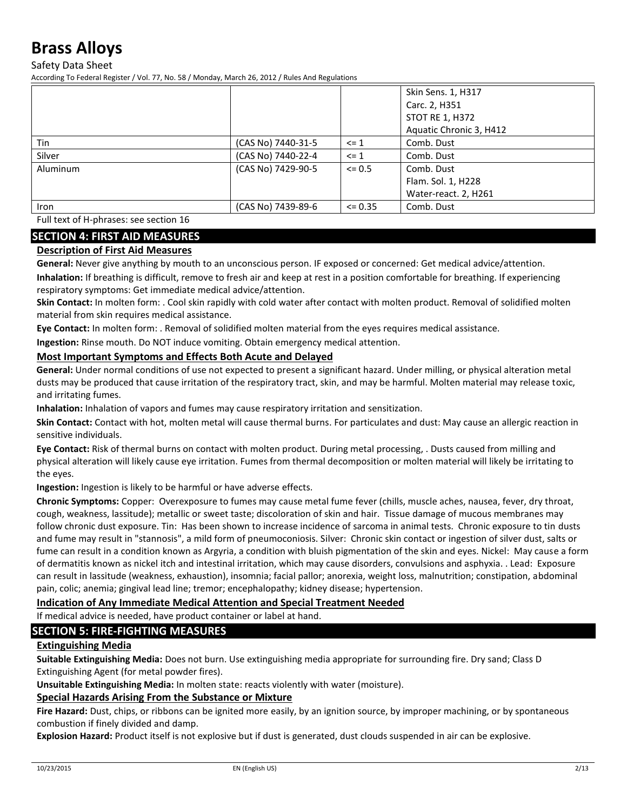Safety Data Sheet

According To Federal Register / Vol. 77, No. 58 / Monday, March 26, 2012 / Rules And Regulations

|                 |                    |             | Skin Sens. 1, H317      |
|-----------------|--------------------|-------------|-------------------------|
|                 |                    |             | Carc. 2, H351           |
|                 |                    |             | <b>STOT RE 1, H372</b>  |
|                 |                    |             | Aquatic Chronic 3, H412 |
| Tin             | (CAS No) 7440-31-5 | $\leq 1$    | Comb. Dust              |
| Silver          | (CAS No) 7440-22-4 | $\leq 1$    | Comb. Dust              |
| <b>Aluminum</b> | (CAS No) 7429-90-5 | $\leq 0.5$  | Comb. Dust              |
|                 |                    |             | Flam. Sol. 1, H228      |
|                 |                    |             | Water-react. 2, H261    |
| Iron            | (CAS No) 7439-89-6 | $\leq 0.35$ | Comb. Dust              |

Full text of H-phrases: see section 16

### **SECTION 4: FIRST AID MEASURES**

#### **Description of First Aid Measures**

**General:** Never give anything by mouth to an unconscious person. IF exposed or concerned: Get medical advice/attention.

**Inhalation:** If breathing is difficult, remove to fresh air and keep at rest in a position comfortable for breathing. If experiencing respiratory symptoms: Get immediate medical advice/attention.

**Skin Contact:** In molten form: . Cool skin rapidly with cold water after contact with molten product. Removal of solidified molten material from skin requires medical assistance.

**Eye Contact:** In molten form: . Removal of solidified molten material from the eyes requires medical assistance.

**Ingestion:** Rinse mouth. Do NOT induce vomiting. Obtain emergency medical attention.

#### **Most Important Symptoms and Effects Both Acute and Delayed**

**General:** Under normal conditions of use not expected to present a significant hazard. Under milling, or physical alteration metal dusts may be produced that cause irritation of the respiratory tract, skin, and may be harmful. Molten material may release toxic, and irritating fumes.

**Inhalation:** Inhalation of vapors and fumes may cause respiratory irritation and sensitization.

**Skin Contact:** Contact with hot, molten metal will cause thermal burns. For particulates and dust: May cause an allergic reaction in sensitive individuals.

**Eye Contact:** Risk of thermal burns on contact with molten product. During metal processing, . Dusts caused from milling and physical alteration will likely cause eye irritation. Fumes from thermal decomposition or molten material will likely be irritating to the eyes.

**Ingestion:** Ingestion is likely to be harmful or have adverse effects.

**Chronic Symptoms:** Copper: Overexposure to fumes may cause metal fume fever (chills, muscle aches, nausea, fever, dry throat, cough, weakness, lassitude); metallic or sweet taste; discoloration of skin and hair. Tissue damage of mucous membranes may follow chronic dust exposure. Tin: Has been shown to increase incidence of sarcoma in animal tests. Chronic exposure to tin dusts and fume may result in "stannosis", a mild form of pneumoconiosis. Silver: Chronic skin contact or ingestion of silver dust, salts or fume can result in a condition known as Argyria, a condition with bluish pigmentation of the skin and eyes. Nickel: May cause a form of dermatitis known as nickel itch and intestinal irritation, which may cause disorders, convulsions and asphyxia. . Lead: Exposure can result in lassitude (weakness, exhaustion), insomnia; facial pallor; anorexia, weight loss, malnutrition; constipation, abdominal pain, colic; anemia; gingival lead line; tremor; encephalopathy; kidney disease; hypertension.

#### **Indication of Any Immediate Medical Attention and Special Treatment Needed**

If medical advice is needed, have product container or label at hand.

#### **SECTION 5: FIRE-FIGHTING MEASURES**

#### **Extinguishing Media**

**Suitable Extinguishing Media:** Does not burn. Use extinguishing media appropriate for surrounding fire. Dry sand; Class D Extinguishing Agent (for metal powder fires).

**Unsuitable Extinguishing Media:** In molten state: reacts violently with water (moisture).

#### **Special Hazards Arising From the Substance or Mixture**

**Fire Hazard:** Dust, chips, or ribbons can be ignited more easily, by an ignition source, by improper machining, or by spontaneous combustion if finely divided and damp.

**Explosion Hazard:** Product itself is not explosive but if dust is generated, dust clouds suspended in air can be explosive.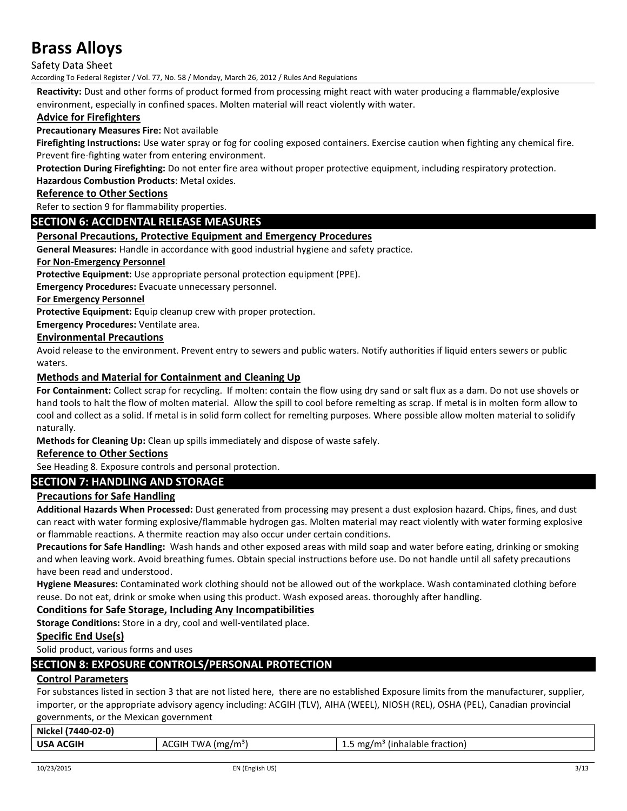Safety Data Sheet

According To Federal Register / Vol. 77, No. 58 / Monday, March 26, 2012 / Rules And Regulations

**Reactivity:** Dust and other forms of product formed from processing might react with water producing a flammable/explosive environment, especially in confined spaces. Molten material will react violently with water.

#### **Advice for Firefighters**

**Precautionary Measures Fire:** Not available

**Firefighting Instructions:** Use water spray or fog for cooling exposed containers. Exercise caution when fighting any chemical fire. Prevent fire-fighting water from entering environment.

**Protection During Firefighting:** Do not enter fire area without proper protective equipment, including respiratory protection.

**Hazardous Combustion Products**: Metal oxides.

#### **Reference to Other Sections**

Refer to section 9 for flammability properties.

#### **SECTION 6: ACCIDENTAL RELEASE MEASURES**

#### **Personal Precautions, Protective Equipment and Emergency Procedures**

**General Measures:** Handle in accordance with good industrial hygiene and safety practice.

#### **For Non-Emergency Personnel**

**Protective Equipment:** Use appropriate personal protection equipment (PPE).

**Emergency Procedures:** Evacuate unnecessary personnel.

**For Emergency Personnel**

**Protective Equipment:** Equip cleanup crew with proper protection.

**Emergency Procedures:** Ventilate area.

#### **Environmental Precautions**

Avoid release to the environment. Prevent entry to sewers and public waters. Notify authorities if liquid enters sewers or public waters.

#### **Methods and Material for Containment and Cleaning Up**

**For Containment:** Collect scrap for recycling. If molten: contain the flow using dry sand or salt flux as a dam. Do not use shovels or hand tools to halt the flow of molten material. Allow the spill to cool before remelting as scrap. If metal is in molten form allow to cool and collect as a solid. If metal is in solid form collect for remelting purposes. Where possible allow molten material to solidify naturally.

**Methods for Cleaning Up:** Clean up spills immediately and dispose of waste safely.

#### **Reference to Other Sections**

See Heading 8. Exposure controls and personal protection.

#### **SECTION 7: HANDLING AND STORAGE**

#### **Precautions for Safe Handling**

**Additional Hazards When Processed:** Dust generated from processing may present a dust explosion hazard. Chips, fines, and dust can react with water forming explosive/flammable hydrogen gas. Molten material may react violently with water forming explosive or flammable reactions. A thermite reaction may also occur under certain conditions.

**Precautions for Safe Handling:** Wash hands and other exposed areas with mild soap and water before eating, drinking or smoking and when leaving work. Avoid breathing fumes. Obtain special instructions before use. Do not handle until all safety precautions have been read and understood.

**Hygiene Measures:** Contaminated work clothing should not be allowed out of the workplace. Wash contaminated clothing before reuse. Do not eat, drink or smoke when using this product. Wash exposed areas. thoroughly after handling.

#### **Conditions for Safe Storage, Including Any Incompatibilities**

**Storage Conditions:** Store in a dry, cool and well-ventilated place.

#### **Specific End Use(s)**

Solid product, various forms and uses

#### **SECTION 8: EXPOSURE CONTROLS/PERSONAL PROTECTION**

#### **Control Parameters**

For substances listed in section 3 that are not listed here, there are no established Exposure limits from the manufacturer, supplier, importer, or the appropriate advisory agency including: ACGIH (TLV), AIHA (WEEL), NIOSH (REL), OSHA (PEL), Canadian provincial governments, or the Mexican government

| Nickel (7440-02-0) |                                   |                                                |
|--------------------|-----------------------------------|------------------------------------------------|
| <b>USA ACGIH</b>   | TWA (mg/m <sup>3</sup> )<br>ACGIH | (inhalable fraction)<br>mg/m <sup>3</sup><br>ᆠ |
|                    |                                   |                                                |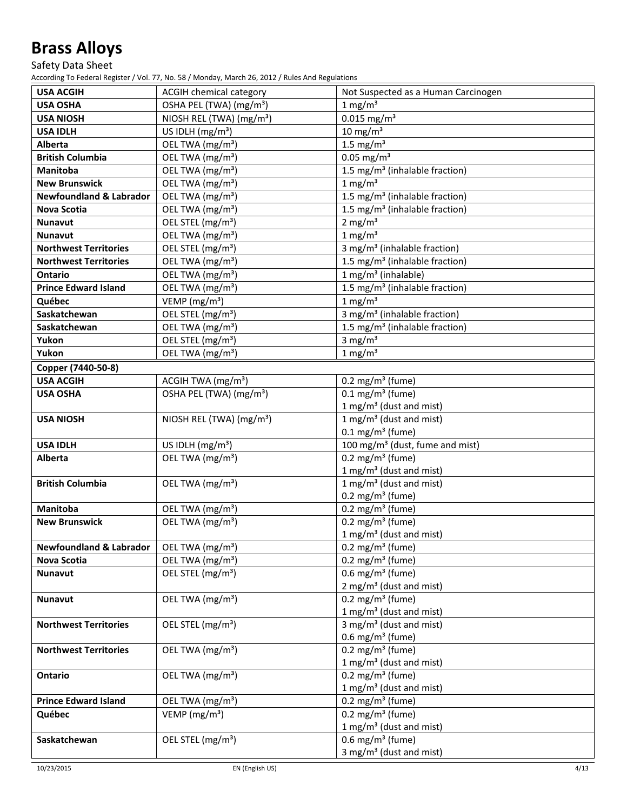Safety Data Sheet

| <b>USA ACGIH</b>                   | <b>ACGIH chemical category</b>       | Not Suspected as a Human Carcinogen          |
|------------------------------------|--------------------------------------|----------------------------------------------|
| <b>USA OSHA</b>                    | OSHA PEL (TWA) (mg/m <sup>3</sup> )  | $1 \text{ mg/m}^3$                           |
| <b>USA NIOSH</b>                   | NIOSH REL (TWA) (mg/m <sup>3</sup> ) | $0.015$ mg/m <sup>3</sup>                    |
| <b>USA IDLH</b>                    | US IDLH $(mg/m3)$                    | $10 \text{ mg/m}^3$                          |
| Alberta                            | OEL TWA (mg/m <sup>3</sup> )         | $1.5 \text{ mg/m}^3$                         |
| <b>British Columbia</b>            | OEL TWA (mg/m <sup>3</sup> )         | $0.05$ mg/m <sup>3</sup>                     |
| Manitoba                           | OEL TWA (mg/m <sup>3</sup> )         | $1.5$ mg/m <sup>3</sup> (inhalable fraction) |
| <b>New Brunswick</b>               | OEL TWA (mg/m <sup>3</sup> )         | 1 mg/m $\frac{3}{3}$                         |
| <b>Newfoundland &amp; Labrador</b> | OEL TWA (mg/m <sup>3</sup> )         | 1.5 mg/m <sup>3</sup> (inhalable fraction)   |
| Nova Scotia                        | OEL TWA (mg/m <sup>3</sup> )         | 1.5 mg/m <sup>3</sup> (inhalable fraction)   |
| Nunavut                            | OEL STEL (mg/m <sup>3</sup> )        | 2 mg/ $m3$                                   |
| <b>Nunavut</b>                     | OEL TWA (mg/m <sup>3</sup> )         | $1$ mg/m <sup>3</sup>                        |
| <b>Northwest Territories</b>       | OEL STEL (mg/m <sup>3</sup> )        | 3 mg/m <sup>3</sup> (inhalable fraction)     |
| <b>Northwest Territories</b>       | OEL TWA (mg/m <sup>3</sup> )         | 1.5 mg/m <sup>3</sup> (inhalable fraction)   |
| <b>Ontario</b>                     | OEL TWA (mg/m <sup>3</sup> )         | $1 mg/m3$ (inhalable)                        |
| <b>Prince Edward Island</b>        | OEL TWA (mg/m <sup>3</sup> )         | 1.5 mg/m <sup>3</sup> (inhalable fraction)   |
| Québec                             | VEMP (mg/m <sup>3</sup> )            | $1 \text{ mg/m}^3$                           |
| Saskatchewan                       | OEL STEL (mg/m <sup>3</sup> )        | 3 mg/m <sup>3</sup> (inhalable fraction)     |
| Saskatchewan                       | OEL TWA (mg/m <sup>3</sup> )         | 1.5 mg/m <sup>3</sup> (inhalable fraction)   |
| Yukon                              | OEL STEL (mg/m <sup>3</sup> )        | 3 mg/ $m3$                                   |
| Yukon                              | OEL TWA (mg/m <sup>3</sup> )         | $1 \text{ mg/m}^3$                           |
| Copper (7440-50-8)                 |                                      |                                              |
| <b>USA ACGIH</b>                   | ACGIH TWA (mg/m <sup>3</sup> )       | $0.2$ mg/m <sup>3</sup> (fume)               |
| <b>USA OSHA</b>                    | OSHA PEL (TWA) (mg/m <sup>3</sup> )  | $0.1 \text{ mg/m}^3$ (fume)                  |
|                                    |                                      | 1 mg/m <sup>3</sup> (dust and mist)          |
| <b>USA NIOSH</b>                   | NIOSH REL (TWA) (mg/m <sup>3</sup> ) | 1 mg/m <sup>3</sup> (dust and mist)          |
|                                    |                                      | $0.1 \text{ mg/m}^3$ (fume)                  |
| <b>USA IDLH</b>                    | US IDLH $(mg/m3)$                    | 100 mg/m <sup>3</sup> (dust, fume and mist)  |
| Alberta                            | OEL TWA (mg/m <sup>3</sup> )         | $0.2 \text{ mg/m}^3$ (fume)                  |
|                                    |                                      | 1 mg/m <sup>3</sup> (dust and mist)          |
| <b>British Columbia</b>            | OEL TWA (mg/m <sup>3</sup> )         | 1 mg/m <sup>3</sup> (dust and mist)          |
|                                    |                                      | 0.2 mg/m <sup>3</sup> (fume)                 |
| <b>Manitoba</b>                    | OEL TWA (mg/m <sup>3</sup> )         | $0.2$ mg/m <sup>3</sup> (fume)               |
| <b>New Brunswick</b>               | OEL TWA (mg/m <sup>3</sup> )         | $0.2 \text{ mg/m}^3$ (fume)                  |
|                                    |                                      | 1 mg/m <sup>3</sup> (dust and mist)          |
| <b>Newfoundland &amp; Labrador</b> | OEL TWA (mg/m <sup>3</sup> )         | $0.2 \text{ mg/m}^3$ (fume)                  |
| <b>Nova Scotia</b>                 | OEL TWA (mg/m <sup>3</sup> )         | $0.2 \text{ mg/m}^3$ (fume)                  |
| <b>Nunavut</b>                     | OEL STEL (mg/m <sup>3</sup> )        | $0.6$ mg/m <sup>3</sup> (fume)               |
|                                    |                                      | 2 mg/m <sup>3</sup> (dust and mist)          |
| <b>Nunavut</b>                     | OEL TWA (mg/m <sup>3</sup> )         | $0.2 \text{ mg/m}^3$ (fume)                  |
|                                    |                                      | 1 mg/m <sup>3</sup> (dust and mist)          |
| <b>Northwest Territories</b>       | OEL STEL (mg/m <sup>3</sup> )        | $3$ mg/m <sup>3</sup> (dust and mist)        |
|                                    |                                      | $0.6$ mg/m <sup>3</sup> (fume)               |
| <b>Northwest Territories</b>       | OEL TWA (mg/m <sup>3</sup> )         | $0.2 \text{ mg/m}^3$ (fume)                  |
|                                    |                                      | 1 mg/m <sup>3</sup> (dust and mist)          |
| <b>Ontario</b>                     | OEL TWA (mg/m <sup>3</sup> )         | $0.2 \text{ mg/m}^3$ (fume)                  |
|                                    |                                      | 1 mg/m <sup>3</sup> (dust and mist)          |
| <b>Prince Edward Island</b>        | OEL TWA (mg/m <sup>3</sup> )         | $0.2$ mg/m <sup>3</sup> (fume)               |
| Québec                             | VEMP ( $mg/m3$ )                     | $0.2 \text{ mg/m}^3$ (fume)                  |
|                                    |                                      | 1 mg/m <sup>3</sup> (dust and mist)          |
| Saskatchewan                       | OEL STEL (mg/m <sup>3</sup> )        | $0.6$ mg/m <sup>3</sup> (fume)               |
|                                    |                                      | 3 mg/m <sup>3</sup> (dust and mist)          |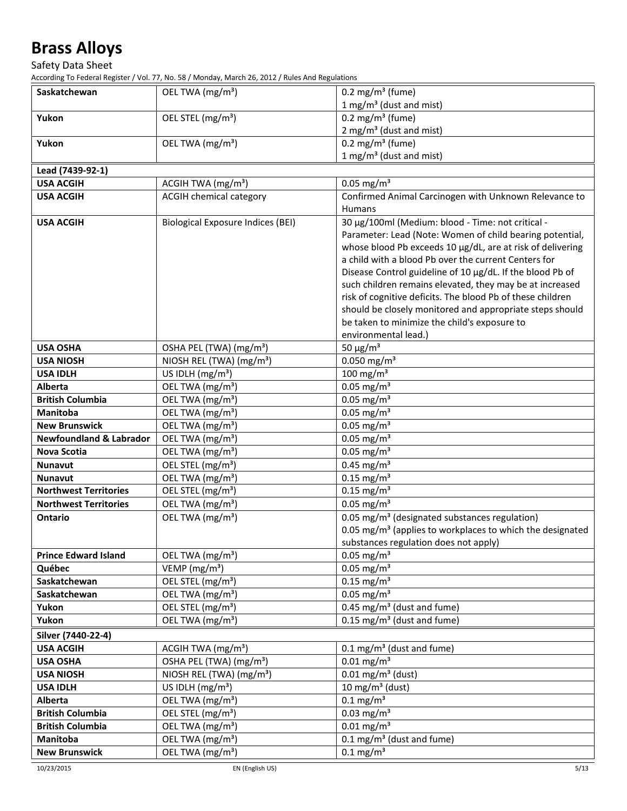Safety Data Sheet

| Saskatchewan                       | OEL TWA (mg/m <sup>3</sup> )             | $0.2 \text{ mg/m}^3$ (fume)<br>1 mg/m <sup>3</sup> (dust and mist)                                                     |
|------------------------------------|------------------------------------------|------------------------------------------------------------------------------------------------------------------------|
| Yukon                              | OEL STEL (mg/m <sup>3</sup> )            | $0.2 \text{ mg/m}^3$ (fume)                                                                                            |
|                                    |                                          | 2 mg/m <sup>3</sup> (dust and mist)                                                                                    |
| Yukon                              | OEL TWA (mg/m <sup>3</sup> )             | $0.2 \text{ mg/m}^3$ (fume)                                                                                            |
|                                    |                                          | 1 mg/m <sup>3</sup> (dust and mist)                                                                                    |
| Lead (7439-92-1)                   |                                          |                                                                                                                        |
| <b>USA ACGIH</b>                   | ACGIH TWA $(mg/m3)$                      | $0.05$ mg/m <sup>3</sup>                                                                                               |
| <b>USA ACGIH</b>                   | <b>ACGIH chemical category</b>           | Confirmed Animal Carcinogen with Unknown Relevance to                                                                  |
|                                    |                                          | <b>Humans</b>                                                                                                          |
| <b>USA ACGIH</b>                   | <b>Biological Exposure Indices (BEI)</b> | 30 µg/100ml (Medium: blood - Time: not critical -                                                                      |
|                                    |                                          | Parameter: Lead (Note: Women of child bearing potential,                                                               |
|                                    |                                          | whose blood Pb exceeds 10 µg/dL, are at risk of delivering                                                             |
|                                    |                                          | a child with a blood Pb over the current Centers for                                                                   |
|                                    |                                          | Disease Control guideline of 10 µg/dL. If the blood Pb of                                                              |
|                                    |                                          | such children remains elevated, they may be at increased                                                               |
|                                    |                                          | risk of cognitive deficits. The blood Pb of these children<br>should be closely monitored and appropriate steps should |
|                                    |                                          | be taken to minimize the child's exposure to                                                                           |
|                                    |                                          | environmental lead.)                                                                                                   |
| <b>USA OSHA</b>                    | OSHA PEL (TWA) (mg/m <sup>3</sup> )      | 50 $\mu$ g/m <sup>3</sup>                                                                                              |
| <b>USA NIOSH</b>                   | NIOSH REL (TWA) (mg/m <sup>3</sup> )     | $0.050$ mg/m <sup>3</sup>                                                                                              |
| <b>USA IDLH</b>                    | US IDLH $(mg/m3)$                        | 100 mg/m <sup>3</sup>                                                                                                  |
| Alberta                            | OEL TWA (mg/m <sup>3</sup> )             | $0.05$ mg/m <sup>3</sup>                                                                                               |
| <b>British Columbia</b>            | OEL TWA (mg/m <sup>3</sup> )             | $0.05$ mg/m <sup>3</sup>                                                                                               |
| <b>Manitoba</b>                    | OEL TWA (mg/m <sup>3</sup> )             | $0.05$ mg/m <sup>3</sup>                                                                                               |
| <b>New Brunswick</b>               | OEL TWA (mg/m <sup>3</sup> )             | $0.05$ mg/m <sup>3</sup>                                                                                               |
| <b>Newfoundland &amp; Labrador</b> | OEL TWA (mg/m <sup>3</sup> )             | $0.05$ mg/m <sup>3</sup>                                                                                               |
| <b>Nova Scotia</b>                 | OEL TWA (mg/m <sup>3</sup> )             | $0.05$ mg/m <sup>3</sup>                                                                                               |
| Nunavut                            | OEL STEL (mg/m <sup>3</sup> )            | $0.45$ mg/m <sup>3</sup>                                                                                               |
| <b>Nunavut</b>                     | OEL TWA (mg/m <sup>3</sup> )             | $0.15$ mg/m <sup>3</sup>                                                                                               |
| <b>Northwest Territories</b>       | OEL STEL (mg/m <sup>3</sup> )            | $0.15$ mg/m <sup>3</sup>                                                                                               |
| <b>Northwest Territories</b>       | OEL TWA (mg/m <sup>3</sup> )             | $0.05$ mg/m <sup>3</sup>                                                                                               |
| <b>Ontario</b>                     | OEL TWA (mg/m <sup>3</sup> )             | 0.05 mg/m <sup>3</sup> (designated substances regulation)                                                              |
|                                    |                                          | 0.05 mg/m <sup>3</sup> (applies to workplaces to which the designated                                                  |
| <b>Prince Edward Island</b>        | OEL TWA (mg/m <sup>3</sup> )             | substances regulation does not apply)<br>$0.05$ mg/m <sup>3</sup>                                                      |
| Québec                             | VEMP ( $mg/m3$ )                         | $0.05$ mg/m <sup>3</sup>                                                                                               |
| Saskatchewan                       | OEL STEL (mg/m <sup>3</sup> )            | $0.15$ mg/m <sup>3</sup>                                                                                               |
| Saskatchewan                       | OEL TWA (mg/m <sup>3</sup> )             | $0.05$ mg/m <sup>3</sup>                                                                                               |
| Yukon                              | OEL STEL (mg/m <sup>3</sup> )            | 0.45 mg/m <sup>3</sup> (dust and fume)                                                                                 |
| Yukon                              | OEL TWA (mg/m <sup>3</sup> )             | $0.15$ mg/m <sup>3</sup> (dust and fume)                                                                               |
| Silver (7440-22-4)                 |                                          |                                                                                                                        |
| <b>USA ACGIH</b>                   | ACGIH TWA (mg/m <sup>3</sup> )           | $0.1 \text{ mg/m}^3$ (dust and fume)                                                                                   |
| <b>USA OSHA</b>                    | OSHA PEL (TWA) (mg/m <sup>3</sup> )      | $0.01$ mg/m <sup>3</sup>                                                                                               |
| <b>USA NIOSH</b>                   | NIOSH REL (TWA) (mg/m <sup>3</sup> )     | $0.01$ mg/m <sup>3</sup> (dust)                                                                                        |
| <b>USA IDLH</b>                    | US IDLH $(mg/m3)$                        | 10 mg/m <sup>3</sup> (dust)                                                                                            |
| <b>Alberta</b>                     | OEL TWA (mg/m <sup>3</sup> )             | $0.1 \text{ mg/m}^3$                                                                                                   |
| <b>British Columbia</b>            | OEL STEL (mg/m <sup>3</sup> )            | $0.03$ mg/m <sup>3</sup>                                                                                               |
| <b>British Columbia</b>            | OEL TWA (mg/m <sup>3</sup> )             | $0.01$ mg/m <sup>3</sup>                                                                                               |
| Manitoba                           | OEL TWA (mg/m <sup>3</sup> )             | $0.1 \text{ mg/m}^3$ (dust and fume)                                                                                   |
| <b>New Brunswick</b>               | OEL TWA (mg/m <sup>3</sup> )             | $0.1$ mg/m <sup>3</sup>                                                                                                |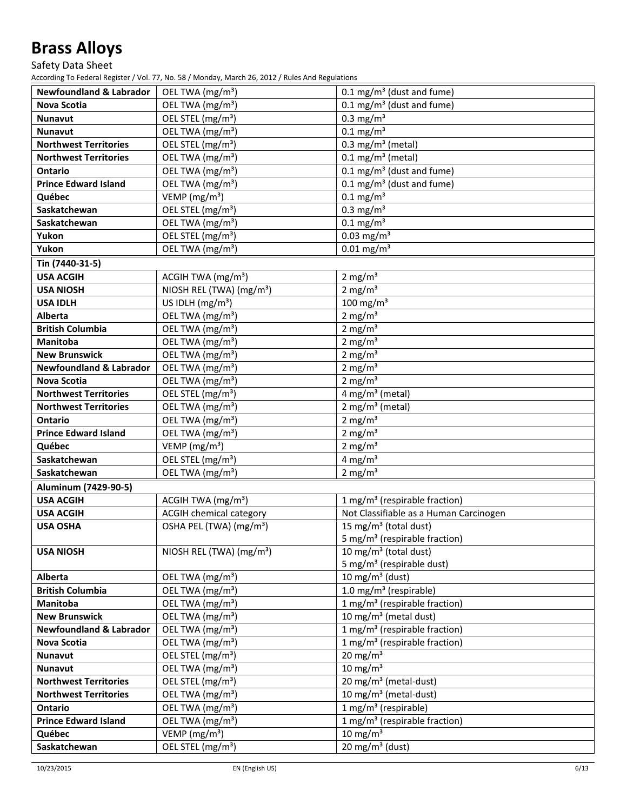Safety Data Sheet

| <b>Newfoundland &amp; Labrador</b> | OEL TWA (mg/m <sup>3</sup> )                                 | $0.1 \text{ mg/m}^3$ (dust and fume)                              |
|------------------------------------|--------------------------------------------------------------|-------------------------------------------------------------------|
| <b>Nova Scotia</b>                 | OEL TWA (mg/m <sup>3</sup> )                                 | $0.1 \text{ mg/m}^3$ (dust and fume)                              |
| <b>Nunavut</b>                     | OEL STEL (mg/m <sup>3</sup> )                                | $0.3$ mg/m <sup>3</sup>                                           |
| <b>Nunavut</b>                     | OEL TWA (mg/m <sup>3</sup> )                                 | $0.1$ mg/m <sup>3</sup>                                           |
| <b>Northwest Territories</b>       | OEL STEL (mg/m <sup>3</sup> )                                | 0.3 mg/m <sup>3</sup> (metal)                                     |
| <b>Northwest Territories</b>       | OEL TWA (mg/m <sup>3</sup> )                                 | $0.1$ mg/m <sup>3</sup> (metal)                                   |
| <b>Ontario</b>                     | OEL TWA (mg/m <sup>3</sup> )                                 | $\overline{0.1}$ mg/m <sup>3</sup> (dust and fume)                |
| <b>Prince Edward Island</b>        | OEL TWA (mg/m <sup>3</sup> )                                 | $0.1$ mg/m <sup>3</sup> (dust and fume)                           |
| Québec                             | VEMP ( $mg/m3$ )                                             | $0.1 \text{ mg/m}^3$                                              |
| Saskatchewan                       | OEL STEL (mg/m <sup>3</sup> )                                | $0.3$ mg/m <sup>3</sup>                                           |
| Saskatchewan                       | OEL TWA (mg/m <sup>3</sup> )                                 | $0.1$ mg/m <sup>3</sup>                                           |
| Yukon                              | OEL STEL (mg/m <sup>3</sup> )                                | $\overline{0.03}$ mg/m <sup>3</sup>                               |
| Yukon                              | OEL TWA (mg/m <sup>3</sup> )                                 | $0.01$ mg/m <sup>3</sup>                                          |
| Tin (7440-31-5)                    |                                                              |                                                                   |
| <b>USA ACGIH</b>                   | ACGIH TWA $(mg/m3)$                                          | 2 mg/ $m3$                                                        |
| <b>USA NIOSH</b>                   | NIOSH REL (TWA) (mg/m <sup>3</sup> )                         | 2 mg/ $m3$                                                        |
| <b>USA IDLH</b>                    | US IDLH $(mg/m3)$                                            | 100 mg/m <sup>3</sup>                                             |
| Alberta                            | OEL TWA (mg/m <sup>3</sup> )                                 | 2 mg/ $m3$                                                        |
| <b>British Columbia</b>            | OEL TWA (mg/m <sup>3</sup> )                                 | 2 mg/ $m3$                                                        |
| Manitoba                           | OEL TWA (mg/m <sup>3</sup> )                                 | 2 mg/ $m3$                                                        |
| <b>New Brunswick</b>               | OEL TWA (mg/m <sup>3</sup> )                                 | 2 mg/ $m3$                                                        |
| <b>Newfoundland &amp; Labrador</b> | OEL TWA (mg/m <sup>3</sup> )                                 | 2 mg/ $m3$                                                        |
| <b>Nova Scotia</b>                 | OEL TWA (mg/m <sup>3</sup> )                                 | 2 mg/ $m3$                                                        |
| <b>Northwest Territories</b>       | OEL STEL (mg/m <sup>3</sup> )                                | 4 mg/m <sup>3</sup> (metal)                                       |
| <b>Northwest Territories</b>       | OEL TWA (mg/m <sup>3</sup> )                                 | 2 mg/m <sup>3</sup> (metal)                                       |
| Ontario                            | OEL TWA (mg/m <sup>3</sup> )                                 | 2 mg/ $m3$                                                        |
| <b>Prince Edward Island</b>        | OEL TWA (mg/m <sup>3</sup> )                                 | 2 mg/ $m3$                                                        |
| Québec                             | VEMP (mg/m <sup>3</sup> )                                    | 2 mg/ $m3$                                                        |
| Saskatchewan                       | OEL STEL (mg/m <sup>3</sup> )                                | $4 \text{ mg/m}^3$                                                |
| Saskatchewan                       | OEL TWA (mg/m <sup>3</sup> )                                 | 2 mg/ $m3$                                                        |
| Aluminum (7429-90-5)               |                                                              |                                                                   |
| <b>USA ACGIH</b>                   | ACGIH TWA (mg/m <sup>3</sup> )                               | 1 mg/m <sup>3</sup> (respirable fraction)                         |
| <b>USA ACGIH</b>                   | <b>ACGIH chemical category</b>                               | Not Classifiable as a Human Carcinogen                            |
| <b>USA OSHA</b>                    | OSHA PEL (TWA) (mg/m <sup>3</sup> )                          | 15 mg/m <sup>3</sup> (total dust)                                 |
|                                    |                                                              | 5 mg/m <sup>3</sup> (respirable fraction)                         |
| <b>USA NIOSH</b>                   | NIOSH REL (TWA) (mg/m <sup>3</sup> )                         | 10 mg/m <sup>3</sup> (total dust)                                 |
| <b>Alberta</b>                     |                                                              | 5 mg/m <sup>3</sup> (respirable dust)                             |
| <b>British Columbia</b>            | OEL TWA (mg/m <sup>3</sup> )<br>OEL TWA (mg/m <sup>3</sup> ) | 10 mg/m <sup>3</sup> (dust)<br>1.0 mg/m <sup>3</sup> (respirable) |
| Manitoba                           | OEL TWA (mg/m <sup>3</sup> )                                 | 1 mg/m <sup>3</sup> (respirable fraction)                         |
| <b>New Brunswick</b>               | OEL TWA (mg/m <sup>3</sup> )                                 | 10 mg/m <sup>3</sup> (metal dust)                                 |
| <b>Newfoundland &amp; Labrador</b> | OEL TWA (mg/m <sup>3</sup> )                                 | 1 mg/m <sup>3</sup> (respirable fraction)                         |
| <b>Nova Scotia</b>                 | OEL TWA (mg/m <sup>3</sup> )                                 | 1 mg/m <sup>3</sup> (respirable fraction)                         |
| Nunavut                            | OEL STEL (mg/m <sup>3</sup> )                                | $20 \text{ mg/m}^3$                                               |
| <b>Nunavut</b>                     | OEL TWA (mg/m <sup>3</sup> )                                 | $10 \text{ mg/m}^3$                                               |
| <b>Northwest Territories</b>       | OEL STEL (mg/m <sup>3</sup> )                                | 20 mg/m <sup>3</sup> (metal-dust)                                 |
| <b>Northwest Territories</b>       | OEL TWA (mg/m <sup>3</sup> )                                 | 10 mg/m <sup>3</sup> (metal-dust)                                 |
| Ontario                            | OEL TWA (mg/m <sup>3</sup> )                                 | $1$ mg/m <sup>3</sup> (respirable)                                |
| <b>Prince Edward Island</b>        | OEL TWA (mg/m <sup>3</sup> )                                 | 1 mg/m <sup>3</sup> (respirable fraction)                         |
| Québec                             | VEMP ( $mg/m3$ )                                             | $10 \text{ mg/m}^3$                                               |
| Saskatchewan                       | OEL STEL (mg/m <sup>3</sup> )                                | 20 mg/m <sup>3</sup> (dust)                                       |
|                                    |                                                              |                                                                   |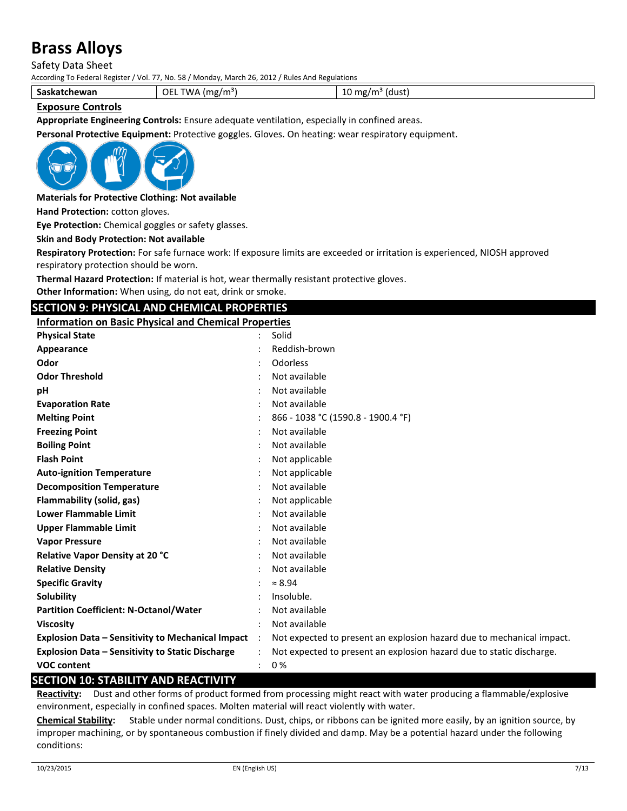Safety Data Sheet

According To Federal Register / Vol. 77, No. 58 / Monday, March 26, 2012 / Rules And Regulations

| Saskatchewan | OEL<br>$T(\Lambda/\Lambda)$<br>$\lambda$ (mg/m <sup>3)</sup> | . .<br>(dust<br>mg/n<br>ΠU |
|--------------|--------------------------------------------------------------|----------------------------|
|              |                                                              |                            |

#### **Exposure Controls**

**Appropriate Engineering Controls:** Ensure adequate ventilation, especially in confined areas.

**Personal Protective Equipment:** Protective goggles. Gloves. On heating: wear respiratory equipment.



#### **Materials for Protective Clothing: Not available**

**Hand Protection:** cotton gloves.

**Eye Protection:** Chemical goggles or safety glasses.

#### **Skin and Body Protection: Not available**

**Respiratory Protection:** For safe furnace work: If exposure limits are exceeded or irritation is experienced, NIOSH approved respiratory protection should be worn.

**Thermal Hazard Protection:** If material is hot, wear thermally resistant protective gloves.

**Other Information:** When using, do not eat, drink or smoke.

#### **SECTION 9: PHYSICAL AND CHEMICAL PROPERTIES**

**Information on Basic Physical and Chemical Properties**

| <b>Physical State</b>                                    |          | Solid                                                                 |
|----------------------------------------------------------|----------|-----------------------------------------------------------------------|
| Appearance                                               |          | Reddish-brown                                                         |
| Odor                                                     |          | Odorless                                                              |
| <b>Odor Threshold</b>                                    |          | Not available                                                         |
| рH                                                       |          | Not available                                                         |
| <b>Evaporation Rate</b>                                  |          | Not available                                                         |
| <b>Melting Point</b>                                     |          | 866 - 1038 °C (1590.8 - 1900.4 °F)                                    |
| <b>Freezing Point</b>                                    |          | Not available                                                         |
| <b>Boiling Point</b>                                     |          | Not available                                                         |
| <b>Flash Point</b>                                       |          | Not applicable                                                        |
| <b>Auto-ignition Temperature</b>                         |          | Not applicable                                                        |
| <b>Decomposition Temperature</b>                         |          | Not available                                                         |
| Flammability (solid, gas)                                |          | Not applicable                                                        |
| <b>Lower Flammable Limit</b>                             |          | Not available                                                         |
| <b>Upper Flammable Limit</b>                             |          | Not available                                                         |
| <b>Vapor Pressure</b>                                    |          | Not available                                                         |
| <b>Relative Vapor Density at 20 °C</b>                   |          | Not available                                                         |
| <b>Relative Density</b>                                  |          | Not available                                                         |
| <b>Specific Gravity</b>                                  |          | $\approx 8.94$                                                        |
| Solubility                                               |          | Insoluble.                                                            |
| <b>Partition Coefficient: N-Octanol/Water</b>            |          | Not available                                                         |
| <b>Viscosity</b>                                         |          | Not available                                                         |
| <b>Explosion Data - Sensitivity to Mechanical Impact</b> | $\ddots$ | Not expected to present an explosion hazard due to mechanical impact. |
| <b>Explosion Data - Sensitivity to Static Discharge</b>  |          | Not expected to present an explosion hazard due to static discharge.  |
| <b>VOC content</b>                                       |          | 0%                                                                    |

#### **SECTION 10: STABILITY AND REACTIVITY**

**Reactivity:** Dust and other forms of product formed from processing might react with water producing a flammable/explosive environment, especially in confined spaces. Molten material will react violently with water.

**Chemical Stability:** Stable under normal conditions. Dust, chips, or ribbons can be ignited more easily, by an ignition source, by improper machining, or by spontaneous combustion if finely divided and damp. May be a potential hazard under the following conditions: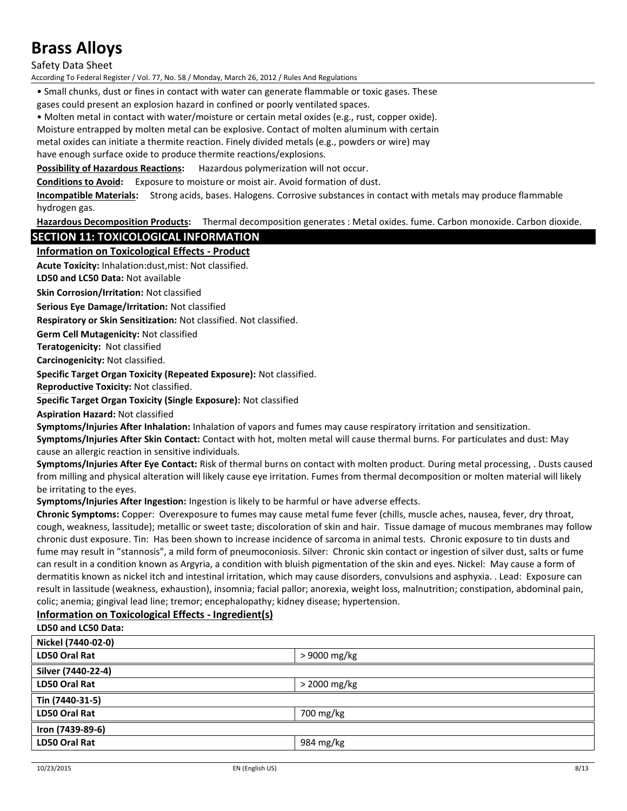Safety Data Sheet

According To Federal Register / Vol. 77, No. 58 / Monday, March 26, 2012 / Rules And Regulations

• Small chunks, dust or fines in contact with water can generate flammable or toxic gases. These

gases could present an explosion hazard in confined or poorly ventilated spaces.

• Molten metal in contact with water/moisture or certain metal oxides (e.g., rust, copper oxide).

Moisture entrapped by molten metal can be explosive. Contact of molten aluminum with certain

metal oxides can initiate a thermite reaction. Finely divided metals (e.g., powders or wire) may

have enough surface oxide to produce thermite reactions/explosions.

**Possibility of Hazardous Reactions:** Hazardous polymerization will not occur.

**Conditions to Avoid:** Exposure to moisture or moist air. Avoid formation of dust.

**Incompatible Materials:** Strong acids, bases. Halogens. Corrosive substances in contact with metals may produce flammable hydrogen gas.

**Hazardous Decomposition Products:** Thermal decomposition generates : Metal oxides. fume. Carbon monoxide. Carbon dioxide.

#### **SECTION 11: TOXICOLOGICAL INFORMATION**

**Information on Toxicological Effects - Product**

**Acute Toxicity:** Inhalation:dust,mist: Not classified.

**LD50 and LC50 Data:** Not available

**Skin Corrosion/Irritation:** Not classified

**Serious Eye Damage/Irritation:** Not classified

**Respiratory or Skin Sensitization:** Not classified. Not classified.

**Germ Cell Mutagenicity:** Not classified

**Teratogenicity:** Not classified

**Carcinogenicity:** Not classified.

**Specific Target Organ Toxicity (Repeated Exposure):** Not classified.

**Reproductive Toxicity:** Not classified.

**Specific Target Organ Toxicity (Single Exposure):** Not classified

**Aspiration Hazard:** Not classified

**Symptoms/Injuries After Inhalation:** Inhalation of vapors and fumes may cause respiratory irritation and sensitization.

**Symptoms/Injuries After Skin Contact:** Contact with hot, molten metal will cause thermal burns. For particulates and dust: May cause an allergic reaction in sensitive individuals.

**Symptoms/Injuries After Eye Contact:** Risk of thermal burns on contact with molten product. During metal processing, . Dusts caused from milling and physical alteration will likely cause eye irritation. Fumes from thermal decomposition or molten material will likely be irritating to the eyes.

**Symptoms/Injuries After Ingestion:** Ingestion is likely to be harmful or have adverse effects.

**Chronic Symptoms:** Copper: Overexposure to fumes may cause metal fume fever (chills, muscle aches, nausea, fever, dry throat, cough, weakness, lassitude); metallic or sweet taste; discoloration of skin and hair. Tissue damage of mucous membranes may follow chronic dust exposure. Tin: Has been shown to increase incidence of sarcoma in animal tests. Chronic exposure to tin dusts and fume may result in "stannosis", a mild form of pneumoconiosis. Silver: Chronic skin contact or ingestion of silver dust, salts or fume can result in a condition known as Argyria, a condition with bluish pigmentation of the skin and eyes. Nickel: May cause a form of dermatitis known as nickel itch and intestinal irritation, which may cause disorders, convulsions and asphyxia. . Lead: Exposure can result in lassitude (weakness, exhaustion), insomnia; facial pallor; anorexia, weight loss, malnutrition; constipation, abdominal pain, colic; anemia; gingival lead line; tremor; encephalopathy; kidney disease; hypertension.

#### **Information on Toxicological Effects - Ingredient(s)**

| LD50 and LC50 Data:  |              |
|----------------------|--------------|
| Nickel (7440-02-0)   |              |
| <b>LD50 Oral Rat</b> | > 9000 mg/kg |
| Silver (7440-22-4)   |              |
| LD50 Oral Rat        | > 2000 mg/kg |
| Tin (7440-31-5)      |              |
| <b>LD50 Oral Rat</b> | 700 mg/kg    |
| Iron (7439-89-6)     |              |
| LD50 Oral Rat        | 984 mg/kg    |
|                      |              |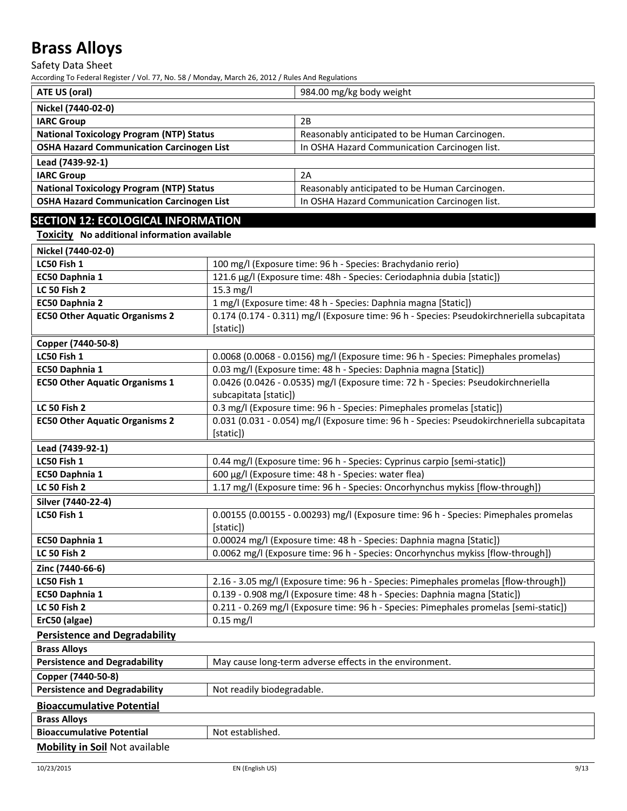Safety Data Sheet

According To Federal Register / Vol. 77, No. 58 / Monday, March 26, 2012 / Rules And Regulations

| ATE US (oral)                                    | 984.00 mg/kg body weight                       |
|--------------------------------------------------|------------------------------------------------|
| Nickel (7440-02-0)                               |                                                |
| <b>IARC Group</b>                                | 2B                                             |
| <b>National Toxicology Program (NTP) Status</b>  | Reasonably anticipated to be Human Carcinogen. |
| <b>OSHA Hazard Communication Carcinogen List</b> | In OSHA Hazard Communication Carcinogen list.  |
| Lead (7439-92-1)                                 |                                                |
| <b>IARC Group</b>                                | 2A                                             |
| <b>National Toxicology Program (NTP) Status</b>  | Reasonably anticipated to be Human Carcinogen. |
| <b>OSHA Hazard Communication Carcinogen List</b> | In OSHA Hazard Communication Carcinogen list.  |

### **SECTION 12: ECOLOGICAL INFORMATION**

**Toxicity No additional information available**

| Nickel (7440-02-0)                    |                                                                                            |
|---------------------------------------|--------------------------------------------------------------------------------------------|
| LC50 Fish 1                           | 100 mg/l (Exposure time: 96 h - Species: Brachydanio rerio)                                |
| EC50 Daphnia 1                        | 121.6 µg/l (Exposure time: 48h - Species: Ceriodaphnia dubia [static])                     |
| <b>LC 50 Fish 2</b>                   | 15.3 mg/l                                                                                  |
| EC50 Daphnia 2                        | 1 mg/l (Exposure time: 48 h - Species: Daphnia magna [Static])                             |
| <b>EC50 Other Aquatic Organisms 2</b> | 0.174 (0.174 - 0.311) mg/l (Exposure time: 96 h - Species: Pseudokirchneriella subcapitata |
|                                       | [static])                                                                                  |
| Copper (7440-50-8)                    |                                                                                            |
| LC50 Fish 1                           | 0.0068 (0.0068 - 0.0156) mg/l (Exposure time: 96 h - Species: Pimephales promelas)         |
| EC50 Daphnia 1                        | 0.03 mg/l (Exposure time: 48 h - Species: Daphnia magna [Static])                          |
| <b>EC50 Other Aquatic Organisms 1</b> | 0.0426 (0.0426 - 0.0535) mg/l (Exposure time: 72 h - Species: Pseudokirchneriella          |
|                                       | subcapitata [static])                                                                      |
| <b>LC 50 Fish 2</b>                   | 0.3 mg/l (Exposure time: 96 h - Species: Pimephales promelas [static])                     |
| <b>EC50 Other Aquatic Organisms 2</b> | 0.031 (0.031 - 0.054) mg/l (Exposure time: 96 h - Species: Pseudokirchneriella subcapitata |
|                                       | [static])                                                                                  |
| Lead (7439-92-1)                      |                                                                                            |
| LC50 Fish 1                           | 0.44 mg/l (Exposure time: 96 h - Species: Cyprinus carpio [semi-static])                   |
| EC50 Daphnia 1                        | 600 µg/l (Exposure time: 48 h - Species: water flea)                                       |
| <b>LC 50 Fish 2</b>                   | 1.17 mg/l (Exposure time: 96 h - Species: Oncorhynchus mykiss [flow-through])              |
| Silver (7440-22-4)                    |                                                                                            |
| LC50 Fish 1                           | 0.00155 (0.00155 - 0.00293) mg/l (Exposure time: 96 h - Species: Pimephales promelas       |
|                                       | [static])                                                                                  |
| EC50 Daphnia 1                        | 0.00024 mg/l (Exposure time: 48 h - Species: Daphnia magna [Static])                       |
| LC 50 Fish 2                          | 0.0062 mg/l (Exposure time: 96 h - Species: Oncorhynchus mykiss [flow-through])            |
| Zinc (7440-66-6)                      |                                                                                            |
| LC50 Fish 1                           | 2.16 - 3.05 mg/l (Exposure time: 96 h - Species: Pimephales promelas [flow-through])       |
| EC50 Daphnia 1                        | 0.139 - 0.908 mg/l (Exposure time: 48 h - Species: Daphnia magna [Static])                 |
| LC 50 Fish 2                          | 0.211 - 0.269 mg/l (Exposure time: 96 h - Species: Pimephales promelas [semi-static])      |
| ErC50 (algae)                         | $0.15$ mg/l                                                                                |
| <b>Persistence and Degradability</b>  |                                                                                            |
| <b>Brass Alloys</b>                   |                                                                                            |
| <b>Persistence and Degradability</b>  | May cause long-term adverse effects in the environment.                                    |
| Copper (7440-50-8)                    |                                                                                            |
| <b>Persistence and Degradability</b>  | Not readily biodegradable.                                                                 |
| <b>Bioaccumulative Potential</b>      |                                                                                            |
| <b>Brass Alloys</b>                   |                                                                                            |
| <b>Bioaccumulative Potential</b>      | Not established.                                                                           |
| <b>Mobility in Soil Not available</b> |                                                                                            |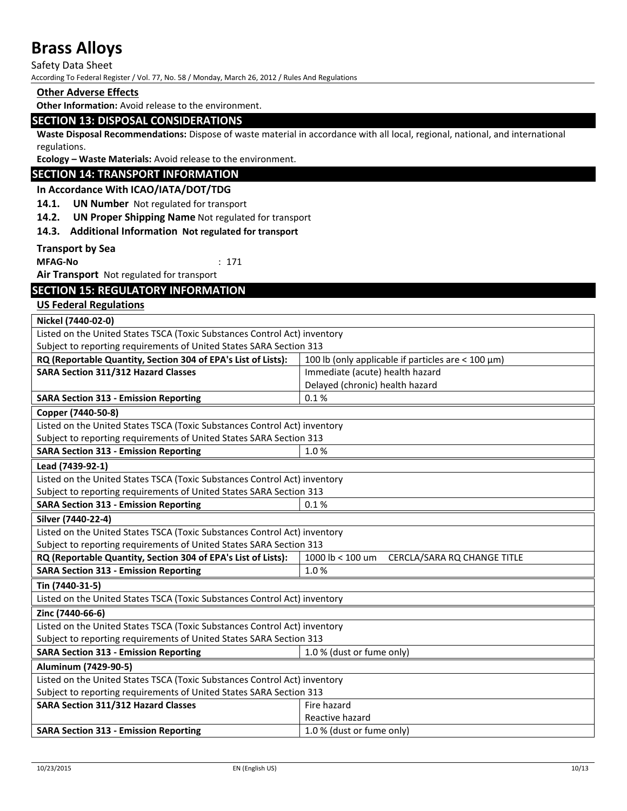Safety Data Sheet

According To Federal Register / Vol. 77, No. 58 / Monday, March 26, 2012 / Rules And Regulations

#### **Other Adverse Effects**

**Other Information:** Avoid release to the environment.

#### **SECTION 13: DISPOSAL CONSIDERATIONS**

**Waste Disposal Recommendations:** Dispose of waste material in accordance with all local, regional, national, and international regulations.

**Ecology – Waste Materials:** Avoid release to the environment.

#### **SECTION 14: TRANSPORT INFORMATION**

#### **In Accordance With ICAO/IATA/DOT/TDG**

**14.1. UN Number** Not regulated for transport

**14.2. UN Proper Shipping Name** Not regulated for transport

**14.3. Additional Information Not regulated for transport**

**Transport by Sea**

**MFAG-No** : 171

**Air Transport** Not regulated for transport

### **US Federal Regulations**

| Nickel (7440-02-0)                                                        |                                                           |  |  |  |  |
|---------------------------------------------------------------------------|-----------------------------------------------------------|--|--|--|--|
| Listed on the United States TSCA (Toxic Substances Control Act) inventory |                                                           |  |  |  |  |
| Subject to reporting requirements of United States SARA Section 313       |                                                           |  |  |  |  |
| RQ (Reportable Quantity, Section 304 of EPA's List of Lists):             | 100 lb (only applicable if particles are $<$ 100 $\mu$ m) |  |  |  |  |
| <b>SARA Section 311/312 Hazard Classes</b>                                | Immediate (acute) health hazard                           |  |  |  |  |
|                                                                           | Delayed (chronic) health hazard                           |  |  |  |  |
| <b>SARA Section 313 - Emission Reporting</b>                              | 0.1%                                                      |  |  |  |  |
| Copper (7440-50-8)                                                        |                                                           |  |  |  |  |
| Listed on the United States TSCA (Toxic Substances Control Act) inventory |                                                           |  |  |  |  |
| Subject to reporting requirements of United States SARA Section 313       |                                                           |  |  |  |  |
| <b>SARA Section 313 - Emission Reporting</b>                              | 1.0%                                                      |  |  |  |  |
| Lead (7439-92-1)                                                          |                                                           |  |  |  |  |
| Listed on the United States TSCA (Toxic Substances Control Act) inventory |                                                           |  |  |  |  |
| Subject to reporting requirements of United States SARA Section 313       |                                                           |  |  |  |  |
| <b>SARA Section 313 - Emission Reporting</b>                              | 0.1%                                                      |  |  |  |  |
| Silver (7440-22-4)                                                        |                                                           |  |  |  |  |
| Listed on the United States TSCA (Toxic Substances Control Act) inventory |                                                           |  |  |  |  |
| Subject to reporting requirements of United States SARA Section 313       |                                                           |  |  |  |  |
| RQ (Reportable Quantity, Section 304 of EPA's List of Lists):             | 1000 lb < 100 um<br>CERCLA/SARA RQ CHANGE TITLE           |  |  |  |  |
| <b>SARA Section 313 - Emission Reporting</b>                              | 1.0%                                                      |  |  |  |  |
| Tin (7440-31-5)                                                           |                                                           |  |  |  |  |
| Listed on the United States TSCA (Toxic Substances Control Act) inventory |                                                           |  |  |  |  |
| Zinc (7440-66-6)                                                          |                                                           |  |  |  |  |
| Listed on the United States TSCA (Toxic Substances Control Act) inventory |                                                           |  |  |  |  |
| Subject to reporting requirements of United States SARA Section 313       |                                                           |  |  |  |  |
| <b>SARA Section 313 - Emission Reporting</b>                              | 1.0 % (dust or fume only)                                 |  |  |  |  |
| Aluminum (7429-90-5)                                                      |                                                           |  |  |  |  |
| Listed on the United States TSCA (Toxic Substances Control Act) inventory |                                                           |  |  |  |  |
| Subject to reporting requirements of United States SARA Section 313       |                                                           |  |  |  |  |
| <b>SARA Section 311/312 Hazard Classes</b>                                | Fire hazard                                               |  |  |  |  |
|                                                                           | Reactive hazard                                           |  |  |  |  |
| <b>SARA Section 313 - Emission Reporting</b>                              | 1.0 % (dust or fume only)                                 |  |  |  |  |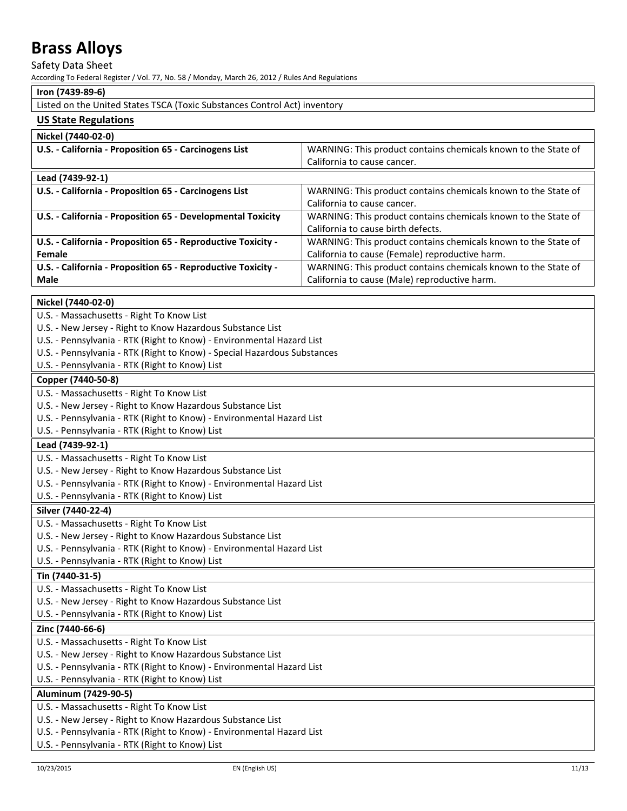#### Safety Data Sheet

According To Federal Register / Vol. 77, No. 58 / Monday, March 26, 2012 / Rules And Regulations

#### **Iron (7439-89-6)**

Listed on the United States TSCA (Toxic Substances Control Act) inventory

#### **US State Regulations**

#### **Nickel (7440-02-0)**

**Nickel (7440-02-0)**

| U.S. - California - Proposition 65 - Carcinogens List        | WARNING: This product contains chemicals known to the State of |
|--------------------------------------------------------------|----------------------------------------------------------------|
|                                                              | California to cause cancer.                                    |
| Lead (7439-92-1)                                             |                                                                |
| U.S. - California - Proposition 65 - Carcinogens List        | WARNING: This product contains chemicals known to the State of |
|                                                              | California to cause cancer.                                    |
| U.S. - California - Proposition 65 - Developmental Toxicity  | WARNING: This product contains chemicals known to the State of |
|                                                              | California to cause birth defects.                             |
| U.S. - California - Proposition 65 - Reproductive Toxicity - | WARNING: This product contains chemicals known to the State of |
| Female                                                       | California to cause (Female) reproductive harm.                |
| U.S. - California - Proposition 65 - Reproductive Toxicity - | WARNING: This product contains chemicals known to the State of |
| Male                                                         | California to cause (Male) reproductive harm.                  |

#### U.S. - Massachusetts - Right To Know List U.S. - New Jersey - Right to Know Hazardous Substance List U.S. - Pennsylvania - RTK (Right to Know) - Environmental Hazard List U.S. - Pennsylvania - RTK (Right to Know) - Special Hazardous Substances U.S. - Pennsylvania - RTK (Right to Know) List **Copper (7440-50-8)** U.S. - Massachusetts - Right To Know List U.S. - New Jersey - Right to Know Hazardous Substance List U.S. - Pennsylvania - RTK (Right to Know) - Environmental Hazard List U.S. - Pennsylvania - RTK (Right to Know) List **Lead (7439-92-1)** U.S. - Massachusetts - Right To Know List U.S. - New Jersey - Right to Know Hazardous Substance List U.S. - Pennsylvania - RTK (Right to Know) - Environmental Hazard List U.S. - Pennsylvania - RTK (Right to Know) List **Silver (7440-22-4)** U.S. - Massachusetts - Right To Know List U.S. - New Jersey - Right to Know Hazardous Substance List U.S. - Pennsylvania - RTK (Right to Know) - Environmental Hazard List U.S. - Pennsylvania - RTK (Right to Know) List **Tin (7440-31-5)** U.S. - Massachusetts - Right To Know List U.S. - New Jersey - Right to Know Hazardous Substance List U.S. - Pennsylvania - RTK (Right to Know) List **Zinc (7440-66-6)** U.S. - Massachusetts - Right To Know List U.S. - New Jersey - Right to Know Hazardous Substance List U.S. - Pennsylvania - RTK (Right to Know) - Environmental Hazard List U.S. - Pennsylvania - RTK (Right to Know) List **Aluminum (7429-90-5)** U.S. - Massachusetts - Right To Know List U.S. - New Jersey - Right to Know Hazardous Substance List U.S. - Pennsylvania - RTK (Right to Know) - Environmental Hazard List

U.S. - Pennsylvania - RTK (Right to Know) List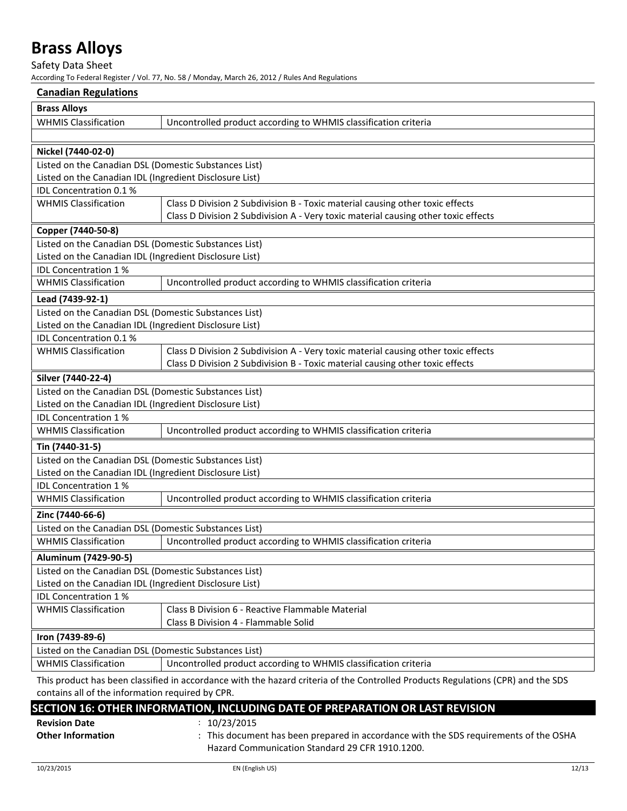Safety Data Sheet

| <b>Canadian Regulations</b>                                                                                                      |                                                                                    |  |  |  |  |
|----------------------------------------------------------------------------------------------------------------------------------|------------------------------------------------------------------------------------|--|--|--|--|
| <b>Brass Alloys</b>                                                                                                              |                                                                                    |  |  |  |  |
| <b>WHMIS Classification</b>                                                                                                      | Uncontrolled product according to WHMIS classification criteria                    |  |  |  |  |
|                                                                                                                                  |                                                                                    |  |  |  |  |
| Nickel (7440-02-0)                                                                                                               |                                                                                    |  |  |  |  |
| Listed on the Canadian DSL (Domestic Substances List)                                                                            |                                                                                    |  |  |  |  |
| Listed on the Canadian IDL (Ingredient Disclosure List)                                                                          |                                                                                    |  |  |  |  |
| IDL Concentration 0.1 %                                                                                                          |                                                                                    |  |  |  |  |
| <b>WHMIS Classification</b>                                                                                                      | Class D Division 2 Subdivision B - Toxic material causing other toxic effects      |  |  |  |  |
|                                                                                                                                  | Class D Division 2 Subdivision A - Very toxic material causing other toxic effects |  |  |  |  |
| Copper (7440-50-8)                                                                                                               |                                                                                    |  |  |  |  |
| Listed on the Canadian DSL (Domestic Substances List)                                                                            |                                                                                    |  |  |  |  |
| Listed on the Canadian IDL (Ingredient Disclosure List)                                                                          |                                                                                    |  |  |  |  |
| IDL Concentration 1%                                                                                                             |                                                                                    |  |  |  |  |
| <b>WHMIS Classification</b>                                                                                                      | Uncontrolled product according to WHMIS classification criteria                    |  |  |  |  |
| Lead (7439-92-1)                                                                                                                 |                                                                                    |  |  |  |  |
| Listed on the Canadian DSL (Domestic Substances List)                                                                            |                                                                                    |  |  |  |  |
| Listed on the Canadian IDL (Ingredient Disclosure List)                                                                          |                                                                                    |  |  |  |  |
| IDL Concentration 0.1 %                                                                                                          |                                                                                    |  |  |  |  |
| <b>WHMIS Classification</b>                                                                                                      | Class D Division 2 Subdivision A - Very toxic material causing other toxic effects |  |  |  |  |
|                                                                                                                                  | Class D Division 2 Subdivision B - Toxic material causing other toxic effects      |  |  |  |  |
| Silver (7440-22-4)                                                                                                               |                                                                                    |  |  |  |  |
| Listed on the Canadian DSL (Domestic Substances List)                                                                            |                                                                                    |  |  |  |  |
| Listed on the Canadian IDL (Ingredient Disclosure List)                                                                          |                                                                                    |  |  |  |  |
| <b>IDL Concentration 1%</b>                                                                                                      |                                                                                    |  |  |  |  |
| <b>WHMIS Classification</b>                                                                                                      | Uncontrolled product according to WHMIS classification criteria                    |  |  |  |  |
| Tin (7440-31-5)                                                                                                                  |                                                                                    |  |  |  |  |
| Listed on the Canadian DSL (Domestic Substances List)                                                                            |                                                                                    |  |  |  |  |
| Listed on the Canadian IDL (Ingredient Disclosure List)                                                                          |                                                                                    |  |  |  |  |
| <b>IDL Concentration 1%</b>                                                                                                      |                                                                                    |  |  |  |  |
| <b>WHMIS Classification</b>                                                                                                      | Uncontrolled product according to WHMIS classification criteria                    |  |  |  |  |
| Zinc (7440-66-6)                                                                                                                 |                                                                                    |  |  |  |  |
| Listed on the Canadian DSL (Domestic Substances List)                                                                            |                                                                                    |  |  |  |  |
| <b>WHMIS Classification</b>                                                                                                      | Uncontrolled product according to WHMIS classification criteria                    |  |  |  |  |
| Aluminum (7429-90-5)                                                                                                             |                                                                                    |  |  |  |  |
| Listed on the Canadian DSL (Domestic Substances List)                                                                            |                                                                                    |  |  |  |  |
| Listed on the Canadian IDL (Ingredient Disclosure List)                                                                          |                                                                                    |  |  |  |  |
| <b>IDL Concentration 1%</b>                                                                                                      |                                                                                    |  |  |  |  |
| <b>WHMIS Classification</b>                                                                                                      | Class B Division 6 - Reactive Flammable Material                                   |  |  |  |  |
|                                                                                                                                  | Class B Division 4 - Flammable Solid                                               |  |  |  |  |
| Iron (7439-89-6)                                                                                                                 |                                                                                    |  |  |  |  |
| Listed on the Canadian DSL (Domestic Substances List)                                                                            |                                                                                    |  |  |  |  |
| <b>WHMIS Classification</b>                                                                                                      | Uncontrolled product according to WHMIS classification criteria                    |  |  |  |  |
| This product has been classified in accordance with the hazard criteria of the Controlled Products Regulations (CPR) and the SDS |                                                                                    |  |  |  |  |
| contains all of the information required by CPR.                                                                                 |                                                                                    |  |  |  |  |
|                                                                                                                                  | SECTION 16: OTHER INFORMATION, INCLUDING DATE OF PREPARATION OR LAST REVISION      |  |  |  |  |
|                                                                                                                                  |                                                                                    |  |  |  |  |

| <b>Revision Date</b>     | 10/23/2015                                                                          |
|--------------------------|-------------------------------------------------------------------------------------|
| <b>Other Information</b> | This document has been prepared in accordance with the SDS requirements of the OSHA |
|                          | Hazard Communication Standard 29 CFR 1910.1200.                                     |